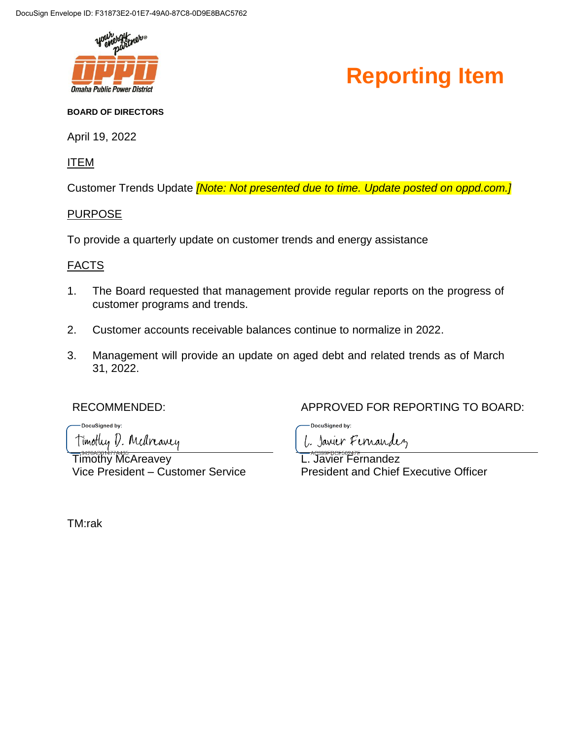

#### **Reporting Item**

#### **BOARD OF DIRECTORS**

April 19, 2022

ITEM

Customer Trends Update *[Note: Not presented due to time. Update posted on oppd.com.]*

#### PURPOSE

To provide a quarterly update on customer trends and energy assistance

#### FACTS

- 1. The Board requested that management provide regular reports on the progress of customer programs and trends.
- 2. Customer accounts receivable balances continue to normalize in 2022.
- 3. Management will provide an update on aged debt and related trends as of March 31, 2022.

-DocuSianed by: Timothy D. Medreavey

Timothy McAreavey Vice President – Customer Service

RECOMMENDED:  $APPROVED$  FOR REPORTING TO BOARD:

DocuSianed by:

L. Javier Fernandez L. Javier Fernandez

President and Chief Executive Officer

TM:rak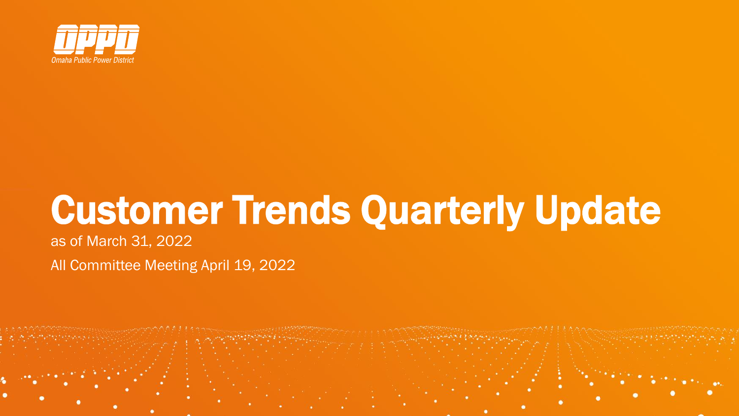

# Customer Trends Quarterly Update

as of March 31, 2022

All Committee Meeting April 19, 2022

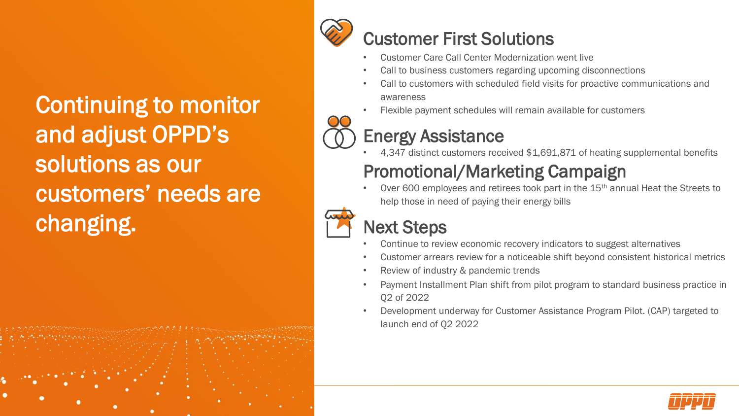Continuing to monitor and adjust OPPD's solutions as our customers' needs are changing.





### Customer First Solutions

- Customer Care Call Center Modernization went live
- Call to business customers regarding upcoming disconnections
- Call to customers with scheduled field visits for proactive communications and awareness
- Flexible payment schedules will remain available for customers



• 4,347 distinct customers received \$1,691,871 of heating supplemental benefits

### Promotional/Marketing Campaign

Over 600 employees and retirees took part in the 15<sup>th</sup> annual Heat the Streets to help those in need of paying their energy bills



### Next Steps

- Continue to review economic recovery indicators to suggest alternatives
- Customer arrears review for a noticeable shift beyond consistent historical metrics
- Review of industry & pandemic trends
- Payment Installment Plan shift from pilot program to standard business practice in Q2 of 2022
- Development underway for Customer Assistance Program Pilot. (CAP) targeted to launch end of Q2 2022

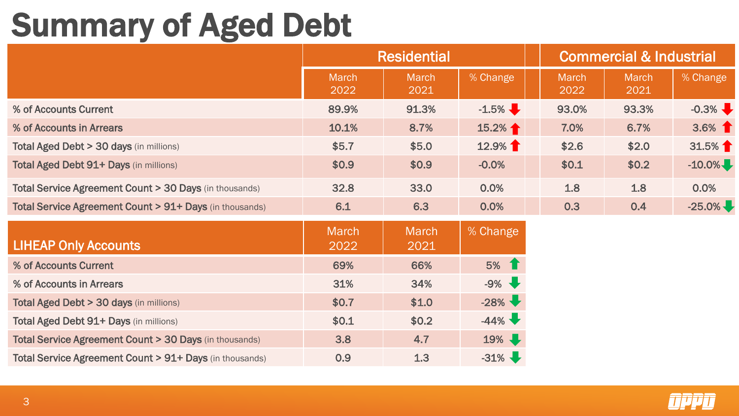# Summary of Aged Debt

|                                                                   | <b>Residential</b>   |                      |          | <b>Commercial &amp; Industrial</b> |                      |           |
|-------------------------------------------------------------------|----------------------|----------------------|----------|------------------------------------|----------------------|-----------|
|                                                                   | <b>March</b><br>2022 | March<br>2021        | % Change | <b>March</b><br>2022               | <b>March</b><br>2021 | % Change  |
| % of Accounts Current                                             | 89.9%                | 91.3%                | $-1.5\%$ | 93.0%                              | 93.3%                | $-0.3\%$  |
| % of Accounts in Arrears                                          | 10.1%                | 8.7%                 | 15.2%    | 7.0%                               | 6.7%                 | $3.6\%$ 1 |
| <b>Total Aged Debt &gt; 30 days (in millions)</b>                 | \$5.7                | \$5.0                | 12.9%    | \$2.6                              | \$2.0                | 31.5%     |
| <b>Total Aged Debt 91+ Days (in millions)</b>                     | \$0.9                | \$0.9                | $-0.0%$  | \$0.1                              | \$0.2\$              | $-10.0\%$ |
| <b>Total Service Agreement Count &gt; 30 Days (in thousands)</b>  | 32.8                 | 33.0                 | 0.0%     | 1.8                                | 1.8                  | 0.0%      |
| <b>Total Service Agreement Count &gt; 91+ Days (in thousands)</b> | 6.1                  | 6.3                  | 0.0%     | 0.3                                | 0.4                  | $-25.0\%$ |
| <b>LIHEAP Only Accounts</b>                                       | <b>March</b><br>2022 | <b>March</b><br>2021 | % Change |                                    |                      |           |

| <b>LIHEAP Only Accounts</b>                                      | 2022  | 2021  |         |
|------------------------------------------------------------------|-------|-------|---------|
| % of Accounts Current                                            | 69%   | 66%   | 5% 1    |
| % of Accounts in Arrears                                         | 31%   | 34%   | $-9\%$  |
| <b>Total Aged Debt &gt; 30 days (in millions)</b>                | \$0.7 | \$1.0 | $-28%$  |
| Total Aged Debt 91+ Days (in millions)                           | \$0.1 | \$0.2 | $-44\%$ |
| <b>Total Service Agreement Count &gt; 30 Days (in thousands)</b> | 3.8   | 4.7   | 19%     |
| Total Service Agreement Count > 91+ Days (in thousands)          | 0.9   | 1.3   | $-31\%$ |

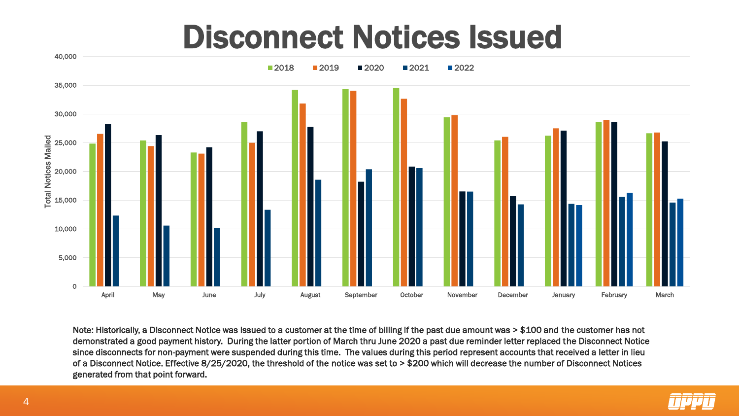### Disconnect Notices Issued



Note: Historically, a Disconnect Notice was issued to a customer at the time of billing if the past due amount was > \$100 and the customer has not demonstrated a good payment history. During the latter portion of March thru June 2020 a past due reminder letter replaced the Disconnect Notice since disconnects for non-payment were suspended during this time. The values during this period represent accounts that received a letter in lieu of a Disconnect Notice. Effective 8/25/2020, the threshold of the notice was set to > \$200 which will decrease the number of Disconnect Notices generated from that point forward.

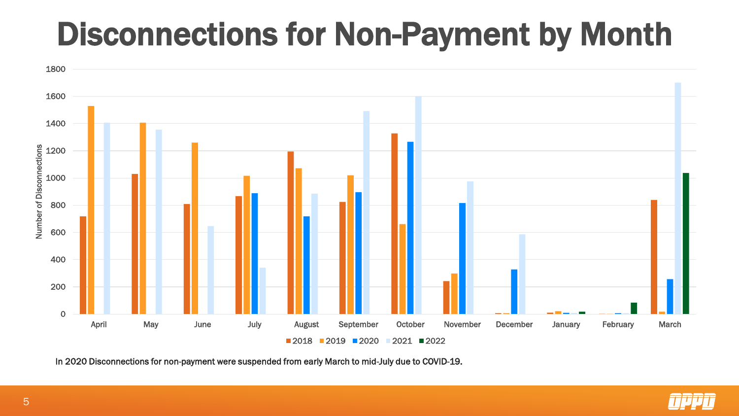## Disconnections for Non-Payment by Month



In 2020 Disconnections for non-payment were suspended from early March to mid-July due to COVID-19.

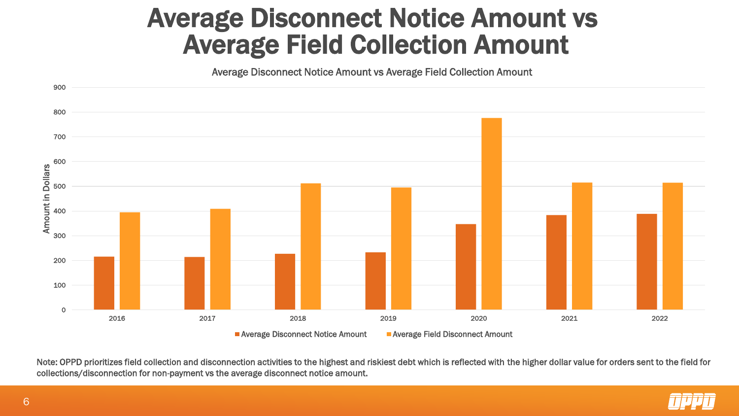### Average Disconnect Notice Amount vs Average Field Collection Amount

Average Disconnect Notice Amount vs Average Field Collection Amount



Note: OPPD prioritizes field collection and disconnection activities to the highest and riskiest debt which is reflected with the higher dollar value for orders sent to the field for collections/disconnection for non-payment vs the average disconnect notice amount.

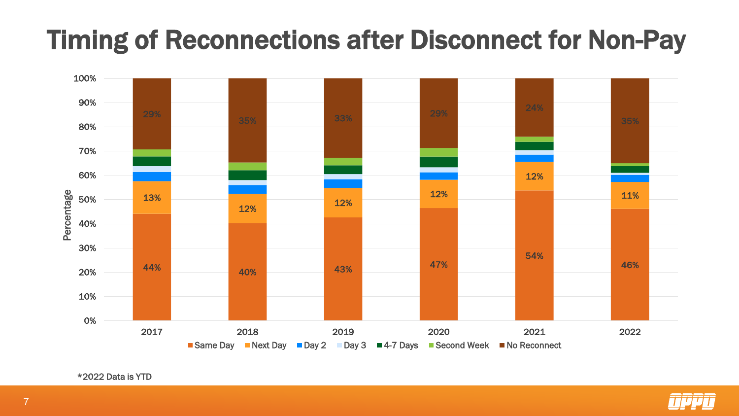### Timing of Reconnections after Disconnect for Non-Pay





\*2022 Data is YTD